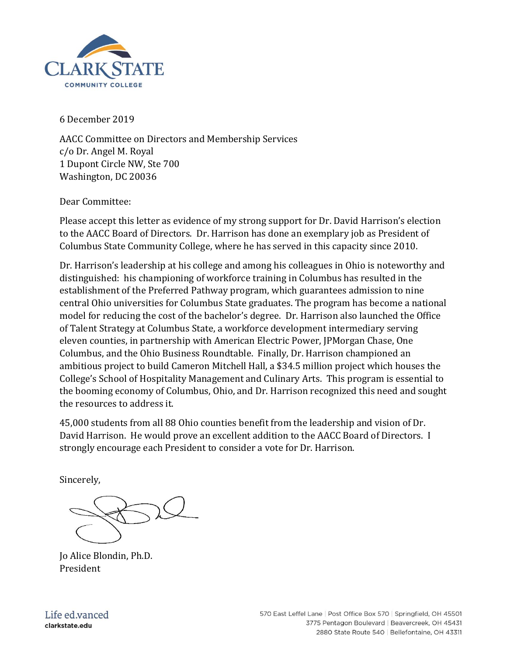

6 December 2019

AACC Committee on Directors and Membership Services c/o Dr. Angel M. Royal 1 Dupont Circle NW, Ste 700 Washington, DC 20036

Dear Committee:

Please accept this letter as evidence of my strong support for Dr. David Harrison's election to the AACC Board of Directors. Dr. Harrison has done an exemplary job as President of Columbus State Community College, where he has served in this capacity since 2010.

Dr. Harrison's leadership at his college and among his colleagues in Ohio is noteworthy and distinguished: his championing of workforce training in Columbus has resulted in the establishment of the Preferred Pathway program, which guarantees admission to nine central Ohio universities for Columbus State graduates. The program has become a national model for reducing the cost of the bachelor's degree. Dr. Harrison also launched the Office of Talent Strategy at Columbus State, a workforce development intermediary serving eleven counties, in partnership with American Electric Power, JPMorgan Chase, One Columbus, and the Ohio Business Roundtable. Finally, Dr. Harrison championed an ambitious project to build Cameron Mitchell Hall, a \$34.5 million project which houses the College's School of Hospitality Management and Culinary Arts. This program is essential to the booming economy of Columbus, Ohio, and Dr. Harrison recognized this need and sought the resources to address it.

45,000 students from all 88 Ohio counties benefit from the leadership and vision of Dr. David Harrison. He would prove an excellent addition to the AACC Board of Directors. I strongly encourage each President to consider a vote for Dr. Harrison.

Sincerely,

Jo Alice Blondin, Ph.D. President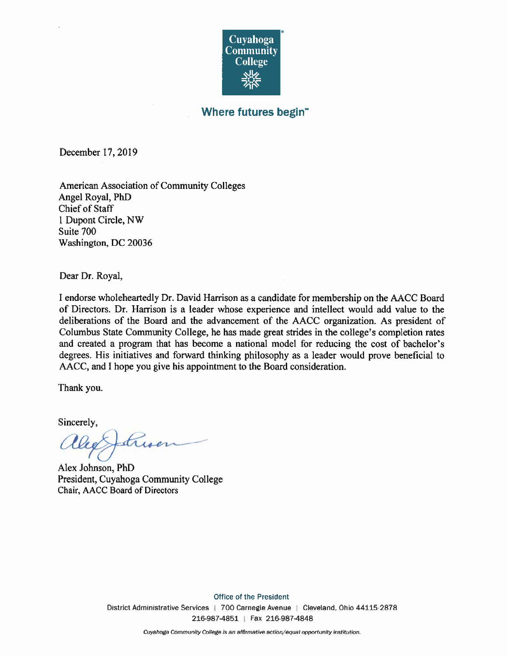

## Where futures begin"

December 17, 2019

**American Association of Community Colleges** Angel Royal, PhD **Chief of Staff** 1 Dupont Circle, NW Suite 700 Washington, DC 20036

Dear Dr. Royal,

I endorse wholeheartedly Dr. David Harrison as a candidate for membership on the AACC Board of Directors. Dr. Harrison is a leader whose experience and intellect would add value to the deliberations of the Board and the advancement of the AACC organization. As president of Columbus State Community College, he has made great strides in the college's completion rates and created a program that has become a national model for reducing the cost of bachelor's degrees. His initiatives and forward thinking philosophy as a leader would prove beneficial to AACC, and I hope you give his appointment to the Board consideration.

Thank you.

Sincerely,

Luier

Alex Johnson, PhD President, Cuyahoga Community College Chair, AACC Board of Directors

**Office of the President** District Administrative Services | 700 Carnegie Avenue | Cleveland, Ohio 44115-2878 216-987-4851 | Fax 216-987-4848

Cuyahoga Community College is an affirmative action/equal opportunity institution.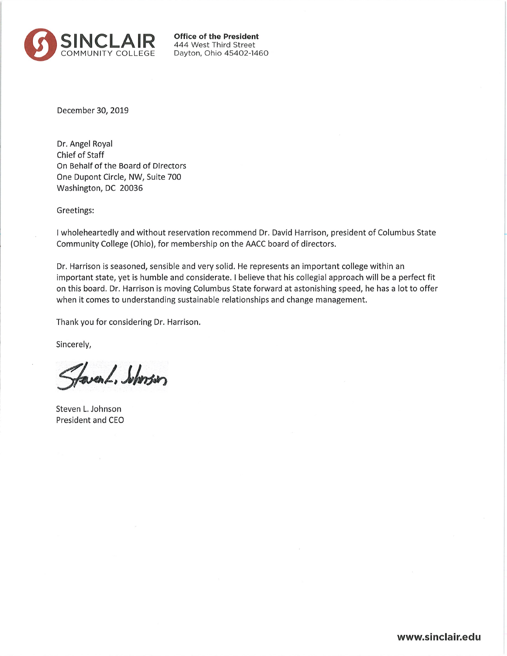

**Office of the President** 444 West Third Street Dayton, Ohio 45402-1460

December 30, 2019

Dr. Angel Royal Chief of Staff On Behalf of the Board of Directors One Dupont Circle, NW, Suite 700 Washington, DC 20036

Greetings:

I wholeheartedly and without reservation recommend Dr. David Harrison, president of Columbus State Community College (Ohio), for membership on the AACC board of directors.

Dr. Harrison is seasoned, sensible and very solid. He represents an important college within an important state, yet is humble and considerate. I believe that his collegial approach will be a perfect fit on this board. Dr. Harrison is moving Columbus State forward at astonishing speed, he has a lot to offer when it comes to understanding sustainable relationships and change management.

Thank you for considering Dr. Harrison.

Sincerely,

faver L. Suborsion

Steven L. Johnson President and CEO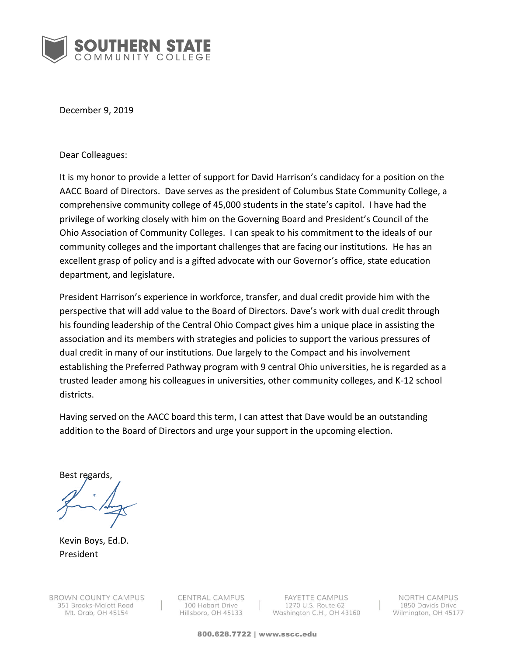

December 9, 2019

Dear Colleagues:

It is my honor to provide a letter of support for David Harrison's candidacy for a position on the AACC Board of Directors. Dave serves as the president of Columbus State Community College, a comprehensive community college of 45,000 students in the state's capitol. I have had the privilege of working closely with him on the Governing Board and President's Council of the Ohio Association of Community Colleges. I can speak to his commitment to the ideals of our community colleges and the important challenges that are facing our institutions. He has an excellent grasp of policy and is a gifted advocate with our Governor's office, state education department, and legislature.

President Harrison's experience in workforce, transfer, and dual credit provide him with the perspective that will add value to the Board of Directors. Dave's work with dual credit through his founding leadership of the Central Ohio Compact gives him a unique place in assisting the association and its members with strategies and policies to support the various pressures of dual credit in many of our institutions. Due largely to the Compact and his involvement establishing the Preferred Pathway program with 9 central Ohio universities, he is regarded as a trusted leader among his colleagues in universities, other community colleges, and K-12 school districts.

Having served on the AACC board this term, I can attest that Dave would be an outstanding addition to the Board of Directors and urge your support in the upcoming election.

Best regards,

Kevin Boys, Ed.D. President

CENTRAL CAMPUS 100 Hobart Drive Hillsboro, OH 45133

**FAYETTE CAMPUS** 1270 U.S. Route 62 Washington C.H., OH 43160

NORTH CAMPUS 1850 Davids Drive Wilmington, OH 45177